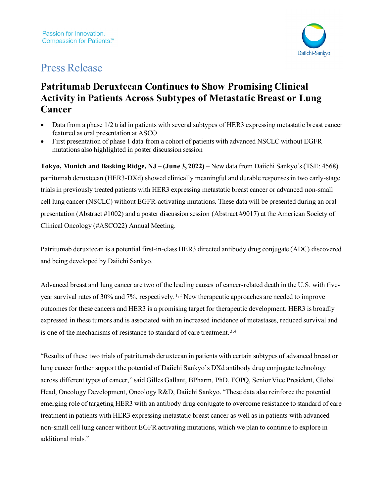

# Press Release

# **Patritumab Deruxtecan Continues to Show Promising Clinical Activity in Patients Across Subtypes of Metastatic Breast or Lung Cancer**

- Data from a phase 1/2 trial in patients with several subtypes of HER3 expressing metastatic breast cancer featured as oral presentation at ASCO
- First presentation of phase 1 data from a cohort of patients with advanced NSCLC without EGFR mutations also highlighted in poster discussion session

**Tokyo, Munich and Basking Ridge, NJ – (June 3, 2022)** – New data from Daiichi Sankyo's(TSE: 4568) patritumab deruxtecan (HER3-DXd) showed clinically meaningful and durable responses in two early-stage trials in previously treated patients with HER3 expressing metastatic breast cancer or advanced non-small cell lung cancer (NSCLC) without EGFR-activating mutations. These data will be presented during an oral presentation (Abstract #1002) and a poster discussion session (Abstract #9017) at the American Society of Clinical Oncology (#ASCO22) Annual Meeting.

Patritumab deruxtecan is a potential first-in-class HER3 directed antibody drug conjugate (ADC) discovered and being developed by Daiichi Sankyo.

<span id="page-0-1"></span><span id="page-0-0"></span>Advanced breast and lung cancer are two of the leading causes of cancer-related death in the U.S. with fiveyear survival rates of 30% and 7%, respectively. [1](#page-6-0),[2](#page-7-0) New therapeutic approaches are needed to improve outcomes for these cancers and HER3 is a promising target for therapeutic development. HER3 is broadly expressed in these tumors and is associated with an increased incidence of metastases, reduced survival and is one of the mechanisms of resistance to standard of care treatment. [3](#page-7-1),[4](#page-7-2)

<span id="page-0-2"></span>"Results of these two trials of patritumab deruxtecan in patients with certain subtypes of advanced breast or lung cancer further support the potential of Daiichi Sankyo's DXd antibody drug conjugate technology across different types of cancer," said Gilles Gallant, BPharm, PhD, FOPQ, Senior Vice President, Global Head, Oncology Development, Oncology R&D, Daiichi Sankyo. "These data also reinforce the potential emerging role of targeting HER3 with an antibody drug conjugate to overcome resistance to standard of care treatment in patients with HER3 expressing metastatic breast cancer as well as in patients with advanced non-small cell lung cancer without EGFR activating mutations, which we plan to continue to explore in additional trials."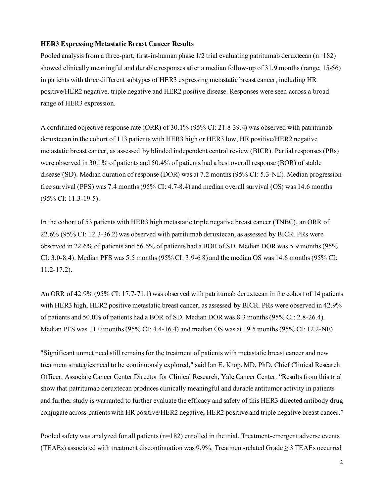#### **HER3 Expressing Metastatic Breast Cancer Results**

Pooled analysis from a three-part, first-in-human phase 1/2 trial evaluating patritumab deruxtecan (n=182) showed clinically meaningful and durable responses after a median follow-up of 31.9 months (range, 15-56) in patients with three different subtypes of HER3 expressing metastatic breast cancer, including HR positive/HER2 negative, triple negative and HER2 positive disease. Responses were seen across a broad range of HER3 expression.

A confirmed objective response rate (ORR) of 30.1% (95% CI: 21.8-39.4) was observed with patritumab deruxtecan in the cohort of 113 patients with HER3 high or HER3 low, HR positive/HER2 negative metastatic breast cancer, as assessed by blinded independent central review (BICR). Partial responses (PRs) were observed in 30.1% of patients and 50.4% of patients had a best overall response (BOR) of stable disease (SD). Median duration of response (DOR) was at 7.2 months (95% CI: 5.3-NE). Median progressionfree survival (PFS) was 7.4 months (95% CI: 4.7-8.4) and median overall survival (OS) was 14.6 months (95% CI: 11.3-19.5).

In the cohort of 53 patients with HER3 high metastatic triple negative breast cancer (TNBC), an ORR of 22.6% (95% CI: 12.3-36.2) was observed with patritumab deruxtecan, as assessed by BICR. PRs were observed in 22.6% of patients and 56.6% of patients had a BOR of SD. Median DOR was 5.9 months (95% CI: 3.0-8.4). Median PFS was 5.5 months (95% CI: 3.9-6.8) and the median OS was 14.6 months (95% CI: 11.2-17.2).

An ORR of 42.9% (95% CI: 17.7-71.1) was observed with patritumab deruxtecan in the cohort of 14 patients with HER3 high, HER2 positive metastatic breast cancer, as assessed by BICR. PRs were observed in 42.9% of patients and 50.0% of patients had a BOR of SD. Median DOR was 8.3 months (95% CI: 2.8-26.4). Median PFS was 11.0 months (95% CI: 4.4-16.4) and median OS was at 19.5 months (95% CI: 12.2-NE).

"Significant unmet need still remains for the treatment of patients with metastatic breast cancer and new treatment strategies need to be continuously explored," said Ian E. Krop, MD, PhD, Chief Clinical Research Officer, Associate Cancer Center Director for Clinical Research, Yale Cancer Center. "Results from this trial show that patritumab deruxtecan produces clinically meaningful and durable antitumor activity in patients and further study is warranted to further evaluate the efficacy and safety of this HER3 directed antibody drug conjugate across patients with HR positive/HER2 negative, HER2 positive and triple negative breast cancer."

Pooled safety was analyzed for all patients (n=182) enrolled in the trial. Treatment-emergent adverse events (TEAEs) associated with treatment discontinuation was 9.9%. Treatment-related Grade  $\geq$  3 TEAEs occurred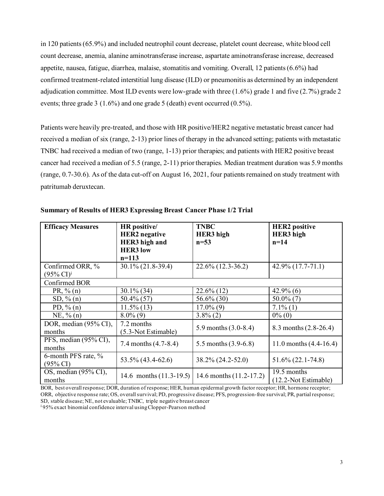in 120 patients (65.9%) and included neutrophil count decrease, platelet count decrease, white blood cell count decrease, anemia, alanine aminotransferase increase, aspartate aminotransferase increase, decreased appetite, nausea, fatigue, diarrhea, malaise, stomatitis and vomiting. Overall, 12 patients (6.6%) had confirmed treatment-related interstitial lung disease (ILD) or pneumonitis as determined by an independent adjudication committee. Most ILD events were low-grade with three (1.6%) grade 1 and five (2.7%) grade 2 events; three grade 3 (1.6%) and one grade 5 (death) event occurred (0.5%).

Patients were heavily pre-treated, and those with HR positive/HER2 negative metastatic breast cancer had received a median of six (range, 2-13) prior lines of therapy in the advanced setting; patients with metastatic TNBC had received a median of two (range, 1-13) prior therapies; and patients with HER2 positive breast cancer had received a median of 5.5 (range, 2-11) prior therapies. Median treatment duration was 5.9 months (range, 0.7-30.6). As of the data cut-off on August 16, 2021, four patients remained on study treatment with patritumab deruxtecan.

| <b>Efficacy Measures</b>                             | HR positive/<br><b>HER2</b> negative<br>HER3 high and<br><b>HER3</b> low<br>$n=113$ | <b>TNBC</b><br>HER3 high<br>$n = 53$ | <b>HER2</b> positive<br><b>HER3</b> high<br>$n=14$ |
|------------------------------------------------------|-------------------------------------------------------------------------------------|--------------------------------------|----------------------------------------------------|
| Confirmed ORR, %<br>$(95\% \text{ CI})^{\text{i}}$   | 30.1% (21.8-39.4)                                                                   | $22.6\%$ (12.3-36.2)                 | $42.9\%$ $(17.7-71.1)$                             |
| Confirmed BOR                                        |                                                                                     |                                      |                                                    |
| PR, $\%$ (n)                                         | $30.1\%$ (34)                                                                       | $22.6\%$ (12)                        | $42.9\%$ (6)                                       |
| $SD, \% (n)$                                         | $50.4\%$ (57)                                                                       | 56.6% (30)                           | $50.0\%$ (7)                                       |
| PD, $\%$ (n)                                         | $11.5\%$ (13)                                                                       | $17.0\%$ (9)                         | $7.1\%$ (1)                                        |
| $NE, \% (n)$                                         | $8.0\%$ (9)                                                                         | $3.8\%$ (2)                          | $0\%$ (0)                                          |
| DOR, median (95% CI),<br>months                      | 7.2 months<br>(5.3-Not Estimable)                                                   | 5.9 months $(3.0-8.4)$               | 8.3 months (2.8-26.4)                              |
| $\overline{\text{PFS}}$ , median (95% CI),<br>months | 7.4 months $(4.7-8.4)$                                                              | 5.5 months $(3.9-6.8)$               | 11.0 months $(4.4-16.4)$                           |
| 6-month PFS rate, %<br>$(95\% \text{ CI})$           | 53.5% (43.4-62.6)                                                                   | 38.2% (24.2-52.0)                    | $51.6\% (22.1 - 74.8)$                             |
| OS, median (95% CI),<br>months                       | 14.6 months $(11.3-19.5)$                                                           | 14.6 months (11.2-17.2)              | 19.5 months<br>(12.2-Not Estimable)                |

**Summary of Results of HER3 Expressing Breast Cancer Phase 1/2 Trial**

BOR, best overall response; DOR, duration of response; HER, human epidermal growth factor receptor; HR, hormone receptor; ORR, objective response rate; OS, overall survival; PD, progressive disease; PFS, progression-free survival; PR, partial response; SD, stable disease; NE, not evaluable; TNBC, triple negative breast cancer

<sup>i</sup> 95% exact binomial confidence interval using Clopper-Pearson method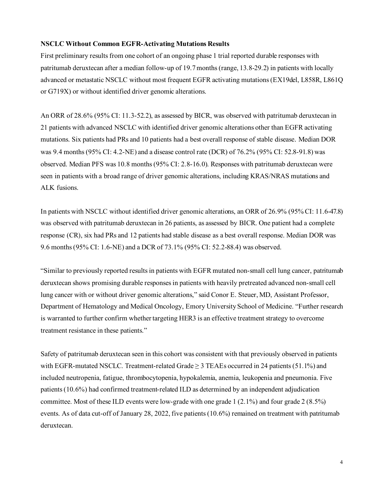#### **NSCLC Without Common EGFR-Activating Mutations Results**

First preliminary results from one cohort of an ongoing phase 1 trial reported durable responses with patritumab deruxtecan after a median follow-up of 19.7 months (range, 13.8-29.2) in patients with locally advanced or metastatic NSCLC without most frequent EGFR activating mutations(EX19del, L858R, L861Q or G719X) or without identified driver genomic alterations.

An ORR of 28.6% (95% CI: 11.3-52.2), as assessed by BICR, was observed with patritumab deruxtecan in 21 patients with advanced NSCLC with identified driver genomic alterations other than EGFR activating mutations. Six patients had PRs and 10 patients had a best overall response of stable disease. Median DOR was 9.4 months (95% CI: 4.2-NE) and a disease control rate (DCR) of 76.2% (95% CI: 52.8-91.8) was observed. Median PFS was 10.8 months(95% CI: 2.8-16.0). Responses with patritumab deruxtecan were seen in patients with a broad range of driver genomic alterations, including KRAS/NRAS mutations and ALK fusions.

In patients with NSCLC without identified driver genomic alterations, an ORR of 26.9% (95% CI: 11.6-47.8) was observed with patritumab deruxtecan in 26 patients, as assessed by BICR. One patient had a complete response (CR), six had PRs and 12 patients had stable disease as a best overall response. Median DOR was 9.6 months (95% CI: 1.6-NE) and a DCR of 73.1% (95% CI: 52.2-88.4) was observed.

"Similar to previously reported results in patients with EGFR mutated non-small cell lung cancer, patritumab deruxtecan shows promising durable responsesin patients with heavily pretreated advanced non-small cell lung cancer with or without driver genomic alterations," said Conor E. Steuer, MD, Assistant Professor, Department of Hematology and Medical Oncology, Emory University School of Medicine. "Further research is warranted to further confirm whether targeting HER3 is an effective treatment strategy to overcome treatment resistance in these patients."

Safety of patritumab deruxtecan seen in this cohort was consistent with that previously observed in patients with EGFR-mutated NSCLC. Treatment-related Grade  $\geq$  3 TEAEs occurred in 24 patients (51.1%) and included neutropenia, fatigue, thrombocytopenia, hypokalemia, anemia, leukopenia and pneumonia. Five patients (10.6%) had confirmed treatment-related ILD as determined by an independent adjudication committee. Most of these ILD events were low-grade with one grade  $1(2.1\%)$  and four grade  $2(8.5\%)$ events. As of data cut-off of January 28, 2022, five patients (10.6%) remained on treatment with patritumab deruxtecan.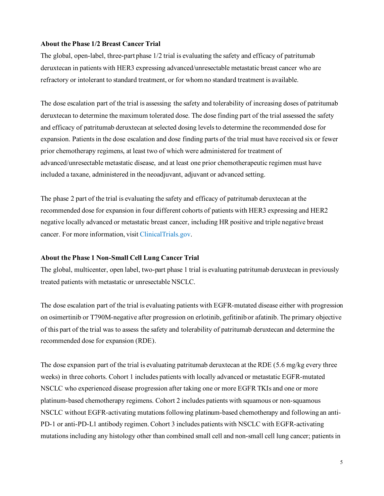#### **About the Phase 1/2 Breast Cancer Trial**

The global, open-label, three-part phase 1/2 trial is evaluating the safety and efficacy of patritumab deruxtecan in patients with HER3 expressing advanced/unresectable metastatic breast cancer who are refractory or intolerant to standard treatment, or for whomno standard treatment is available.

The dose escalation part of the trial is assessing the safety and tolerability of increasing doses of patritumab deruxtecan to determine the maximum tolerated dose. The dose finding part of the trial assessed the safety and efficacy of patritumab deruxtecan at selected dosing levels to determine the recommended dose for expansion. Patients in the dose escalation and dose finding parts of the trial must have received six or fewer prior chemotherapy regimens, at least two of which were administered for treatment of advanced/unresectable metastatic disease, and at least one prior chemotherapeutic regimen must have included a taxane, administered in the neoadjuvant, adjuvant or advanced setting.

The phase 2 part of the trial is evaluating the safety and efficacy of patritumab deruxtecan at the recommended dose for expansion in four different cohorts of patients with HER3 expressing and HER2 negative locally advanced or metastatic breast cancer, including HR positive and triple negative breast cancer. For more information, visit [ClinicalTrials.gov](https://clinicaltrials.gov/ct2/show/NCT02980341).

# **About the Phase 1 Non-Small Cell Lung Cancer Trial**

The global, multicenter, open label, two-part phase 1 trial is evaluating patritumab deruxtecan in previously treated patients with metastatic or unresectable NSCLC.

The dose escalation part of the trial is evaluating patients with EGFR-mutated disease either with progression on osimertinib or T790M-negative after progression on erlotinib, gefitinib or afatinib. The primary objective of this part of the trial was to assess the safety and tolerability of patritumab deruxtecan and determine the recommended dose for expansion (RDE).

The dose expansion part of the trial is evaluating patritumab deruxtecan at the RDE (5.6 mg/kg every three weeks) in three cohorts. Cohort 1 includes patients with locally advanced or metastatic EGFR-mutated NSCLC who experienced disease progression after taking one or more EGFR TKIs and one or more platinum-based chemotherapy regimens. Cohort 2 includes patients with squamous or non-squamous NSCLC without EGFR-activating mutations following platinum-based chemotherapy and following an anti-PD-1 or anti-PD-L1 antibody regimen. Cohort 3 includes patients with NSCLC with EGFR-activating mutations including any histology other than combined small cell and non-small cell lung cancer; patients in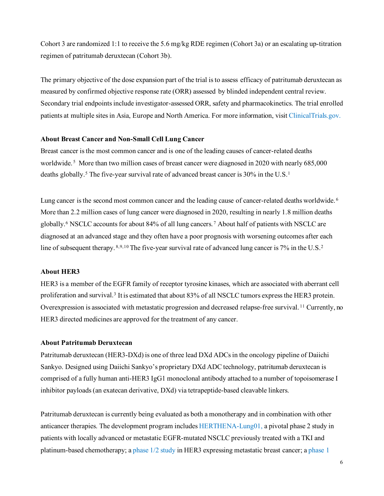Cohort 3 are randomized 1:1 to receive the 5.6 mg/kg RDE regimen (Cohort 3a) or an escalating up-titration regimen of patritumab deruxtecan (Cohort 3b).

The primary objective of the dose expansion part of the trial is to assess efficacy of patritumab deruxtecan as measured by confirmed objective response rate (ORR) assessed by blinded independent central review. Secondary trial endpoints include investigator-assessed ORR, safety and pharmacokinetics. The trial enrolled patients at multiple sites in Asia, Europe and North America. For more information, visit [ClinicalTrials.gov.](https://clinicaltrials.gov/ct2/show/NCT03260491?term=U3-1402&rank=1)

#### **About Breast Cancer and Non-Small Cell Lung Cancer**

<span id="page-5-0"></span>Breast cancer is the most common cancer and is one of the leading causes of cancer-related deaths worldwide.<sup>[5](#page-7-3)</sup> More than two million cases of breast cancer were diagnosed in 2020 with nearly 685,000 deaths globall[y.](#page-5-0)<sup>5</sup> The five-year survival rate of advanced breast cancer is 30% in the U.S.<sup>1</sup>

<span id="page-5-1"></span>Lung cancer is the second most common cancer and the leading cause of cancer-related deaths worldwide.<sup>[6](#page-7-4)</sup> More than 2.2 million cases of lung cancer were diagnosed in 2020, resulting in nearly 1.8 million deaths globall[y.6](#page-5-1) NSCLC accounts for about 84% of all lung cancers. [7](#page-7-5) About half of patients with NSCLC are diagnosed at an advanced stage and they often have a poor prognosis with worsening outcomes after each line of subsequent therapy. [8](#page-7-6),[9](#page-7-7),[10](#page-7-8) The five-year survival rate of advanced lung cancer is 7% in the U.S.<sup>2</sup>

# **About HER3**

HER3 is a member of the EGFR family of receptor tyrosine kinases, which are associated with aberrant cell proliferation and surviva[l.3](#page-0-2) It is estimated that about 83% of all NSCLC tumors express the HER3 protein. Overexpression is associated with metastatic progression and decreased relapse-free survival. [11](#page-7-9) Currently, no HER3 directed medicines are approved for the treatment of any cancer.

# **About Patritumab Deruxtecan**

Patritumab deruxtecan (HER3-DXd) is one of three lead DXd ADCs in the oncology pipeline of Daiichi Sankyo. Designed using Daiichi Sankyo's proprietary DXd ADC technology, patritumab deruxtecan is comprised of a fully human anti-HER3 IgG1 monoclonal antibody attached to a number of topoisomerase I inhibitor payloads (an exatecan derivative, DXd) via tetrapeptide-based cleavable linkers.

Patritumab deruxtecan is currently being evaluated as both a monotherapy and in combination with other anticancer therapies. The development program includes [HERTHENA-Lung01,](https://clinicaltrials.gov/ct2/show/NCT04619004?term=U3-1402&draw=2&rank=6) a pivotal phase 2 study in patients with locally advanced or metastatic EGFR-mutated NSCLC previously treated with a TKI and platinum-based chemotherapy; [a phase 1/2 study](https://clinicaltrials.gov/ct2/show/NCT02980341?cond=u3-1402&draw=2&rank=5) in HER3 expressing metastatic breast cancer; a [phase 1](https://clinicaltrials.gov/ct2/show/NCT04676477?cond=u3-1402&draw=2&rank=7)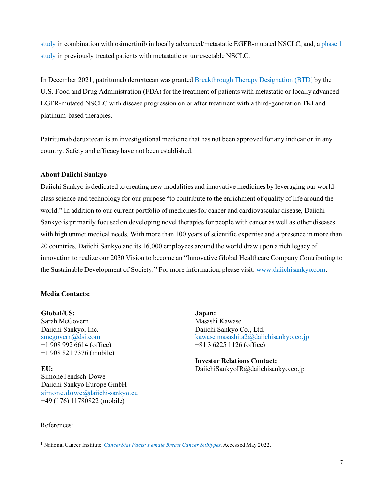[study](https://clinicaltrials.gov/ct2/show/NCT04676477?cond=u3-1402&draw=2&rank=7) in combination with osimertinib in locally advanced/metastatic EGFR-mutated NSCLC; and, [a phase 1](https://clinicaltrials.gov/ct2/show/NCT03260491?cond=u3-1402&draw=2&rank=3) [study](https://clinicaltrials.gov/ct2/show/NCT03260491?cond=u3-1402&draw=2&rank=3) in previously treated patients with metastatic or unresectable NSCLC.

In December 2021, patritumab deruxtecan was grante[d Breakthrough Therapy Designation \(BTD\)](https://daiichisankyo.us/press-releases/-/article/364091/11964607) by the U.S. Food and Drug Administration (FDA) for the treatment of patients with metastatic or locally advanced EGFR-mutated NSCLC with disease progression on or after treatment with a third-generation TKI and platinum-based therapies.

Patritumab deruxtecan is an investigational medicine that has not been approved for any indication in any country. Safety and efficacy have not been established.

# **About Daiichi Sankyo**

Daiichi Sankyo is dedicated to creating new modalities and innovative medicines by leveraging our worldclass science and technology for our purpose "to contribute to the enrichment of quality of life around the world." In addition to our current portfolio of medicines for cancer and cardiovascular disease, Daiichi Sankyo is primarily focused on developing novel therapies for people with cancer as well as other diseases with high unmet medical needs. With more than 100 years of scientific expertise and a presence in more than 20 countries, Daiichi Sankyo and its 16,000 employees around the world draw upon a rich legacy of innovation to realize our 2030 Vision to become an "Innovative Global Healthcare Company Contributing to the Sustainable Development of Society." For more information, please visit: www.daiichisankyo.com.

# **Media Contacts:**

**Global/US:** Sarah McGovern Daiichi Sankyo, Inc. [smcgovern@dsi.com](mailto:smcgovern@dsi.com) +1 908 992 6614 (office) +1 908 821 7376 (mobile)

**EU:** Simone Jendsch-Dowe Daiichi Sankyo Europe GmbH [simone.dowe@daiichi-sankyo.eu](mailto:simone.dowe@daiichi-sankyo.eu) +49 (176) 11780822 (mobile)

**Japan:** Masashi Kawase Daiichi Sankyo Co., Ltd. [kawase.masashi.a2@daiichisankyo.co.jp](mailto:kawase.masashi.a2@daiichisankyo.co.jp) +81 3 6225 1126 (office)

**Investor Relations Contact:** DaiichiSankyoIR@daiichisankyo.co.jp

References:

<span id="page-6-0"></span><sup>1</sup> National Cancer Institute. *[Cancer Stat Facts: Female Breast Cancer Subtypes](https://seer.cancer.gov/statfacts/html/breast-subtypes.html)*. Accessed May 2022.